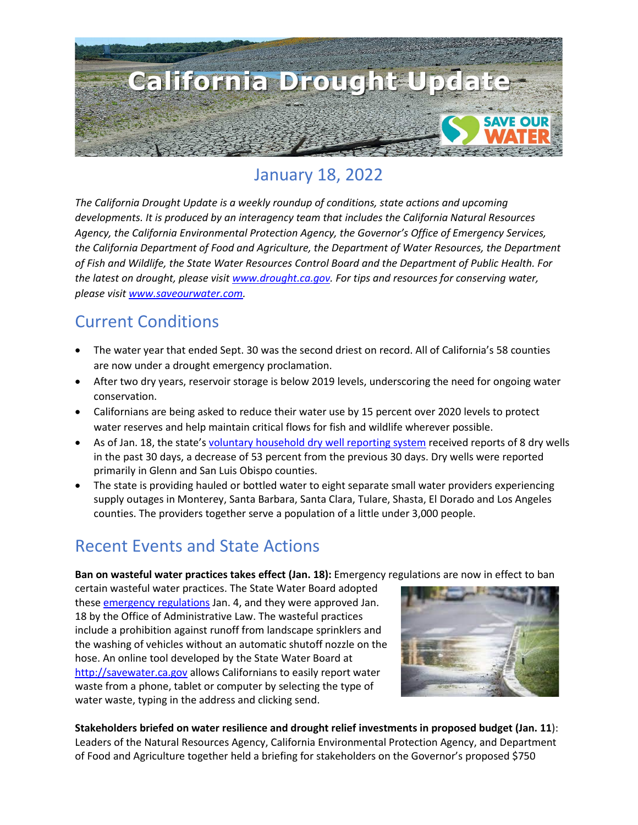

### January 18, 2022

*The California Drought Update is a weekly roundup of conditions, state actions and upcoming developments. It is produced by an interagency team that includes the California Natural Resources Agency, the California Environmental Protection Agency, the Governor's Office of Emergency Services, the California Department of Food and Agriculture, the Department of Water Resources, the Department of Fish and Wildlife, the State Water Resources Control Board and the Department of Public Health. For the latest on drought, please visit [www.drought.ca.gov.](http://www.drought.ca.gov/) For tips and resources for conserving water, please visit [www.saveourwater.com.](http://www.saveourwater.com/)*

#### Current Conditions

- The water year that ended Sept. 30 was the second driest on record. All of California's 58 counties are now under a drought emergency proclamation.
- After two dry years, reservoir storage is below 2019 levels, underscoring the need for ongoing water conservation.
- Californians are being asked to reduce their water use by 15 percent over 2020 levels to protect water reserves and help maintain critical flows for fish and wildlife wherever possible.
- As of Jan. 18, the state's [voluntary household dry well reporting system](https://mydrywell.water.ca.gov/report/) received reports of 8 dry wells in the past 30 days, a decrease of 53 percent from the previous 30 days. Dry wells were reported primarily in Glenn and San Luis Obispo counties.
- The state is providing hauled or bottled water to eight separate small water providers experiencing supply outages in Monterey, Santa Barbara, Santa Clara, Tulare, Shasta, El Dorado and Los Angeles counties. The providers together serve a population of a little under 3,000 people.

#### Recent Events and State Actions

**Ban on wasteful water practices takes effect (Jan. 18):** Emergency regulations are now in effect to ban

certain wasteful water practices. The State Water Board adopted these [emergency regulations](https://www.waterboards.ca.gov/water_issues/programs/conservation_portal/regs/emergency_regulation.html) Jan. 4, and they were approved Jan. 18 by the Office of Administrative Law. The wasteful practices include a prohibition against runoff from landscape sprinklers and the washing of vehicles without an automatic shutoff nozzle on the hose. An online tool developed by the State Water Board at [http://savewater.ca.gov](http://savewater.ca.gov/) allows Californians to easily report water waste from a phone, tablet or computer by selecting the type of water waste, typing in the address and clicking send.



**Stakeholders briefed on water resilience and drought relief investments in proposed budget (Jan. 11**): Leaders of the Natural Resources Agency, California Environmental Protection Agency, and Department of Food and Agriculture together held a briefing for stakeholders on the Governor's proposed \$750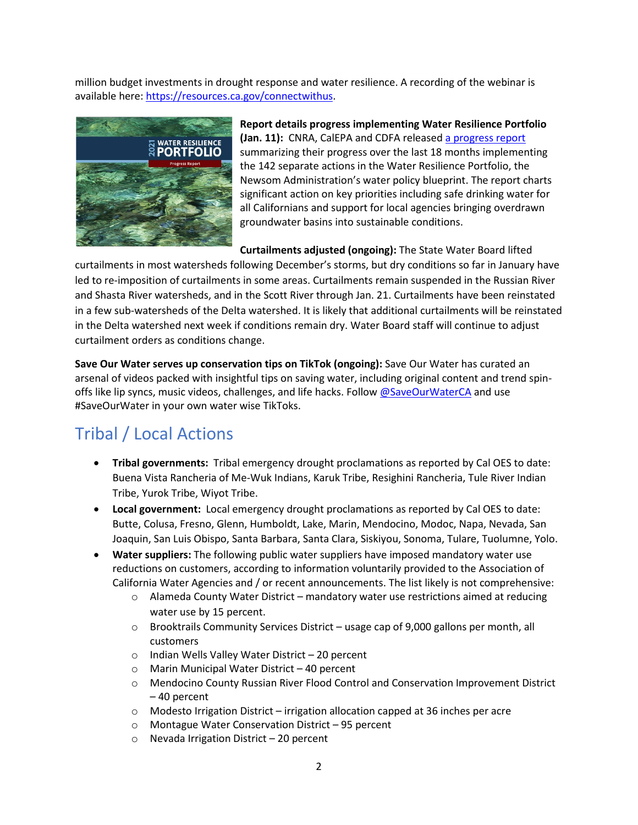million budget investments in drought response and water resilience. A recording of the webinar is available here: [https://resources.ca.gov/connectwithus.](https://resources.ca.gov/connectwithus)



**Report details progress implementing Water Resilience Portfolio (Jan. 11):** CNRA, CalEPA and CDFA release[d a progress report](https://resources.ca.gov/Initiatives/Building-Water-Resilience/portfolio) summarizing their progress over the last 18 months implementing the 142 separate actions in the Water Resilience Portfolio, the Newsom Administration's water policy blueprint. The report charts significant action on key priorities including safe drinking water for all Californians and support for local agencies bringing overdrawn groundwater basins into sustainable conditions.

**Curtailments adjusted (ongoing):** The State Water Board lifted

curtailments in most watersheds following December's storms, but dry conditions so far in January have led to re-imposition of curtailments in some areas. Curtailments remain suspended in the Russian River and Shasta River watersheds, and in the Scott River through Jan. 21. Curtailments have been reinstated in a few sub-watersheds of the Delta watershed. It is likely that additional curtailments will be reinstated in the Delta watershed next week if conditions remain dry. Water Board staff will continue to adjust curtailment orders as conditions change.

**Save Our Water serves up conservation tips on TikTok (ongoing):** Save Our Water has curated an arsenal of videos packed with insightful tips on saving water, including original content and trend spinoffs like lip syncs, music videos, challenges, and life hacks. Follo[w @SaveOurWaterCA](https://www.tiktok.com/@saveourwaterca?is_copy_url=1&is_from_webapp=v1) and use #SaveOurWater in your own water wise TikToks.

# Tribal / Local Actions

- **Tribal governments:** Tribal emergency drought proclamations as reported by Cal OES to date: Buena Vista Rancheria of Me-Wuk Indians, Karuk Tribe, Resighini Rancheria, Tule River Indian Tribe, Yurok Tribe, Wiyot Tribe.
- **Local government:** Local emergency drought proclamations as reported by Cal OES to date: Butte, Colusa, Fresno, Glenn, Humboldt, Lake, Marin, Mendocino, Modoc, Napa, Nevada, San Joaquin, San Luis Obispo, Santa Barbara, Santa Clara, Siskiyou, Sonoma, Tulare, Tuolumne, Yolo.
- **Water suppliers:** The following public water suppliers have imposed mandatory water use reductions on customers, according to information voluntarily provided to the Association of California Water Agencies and / or recent announcements. The list likely is not comprehensive:
	- o Alameda County Water District mandatory water use restrictions aimed at reducing water use by 15 percent.
	- o Brooktrails Community Services District usage cap of 9,000 gallons per month, all customers
	- o Indian Wells Valley Water District 20 percent
	- o Marin Municipal Water District 40 percent
	- o Mendocino County Russian River Flood Control and Conservation Improvement District – 40 percent
	- $\circ$  Modesto Irrigation District irrigation allocation capped at 36 inches per acre
	- o Montague Water Conservation District 95 percent
	- o Nevada Irrigation District 20 percent